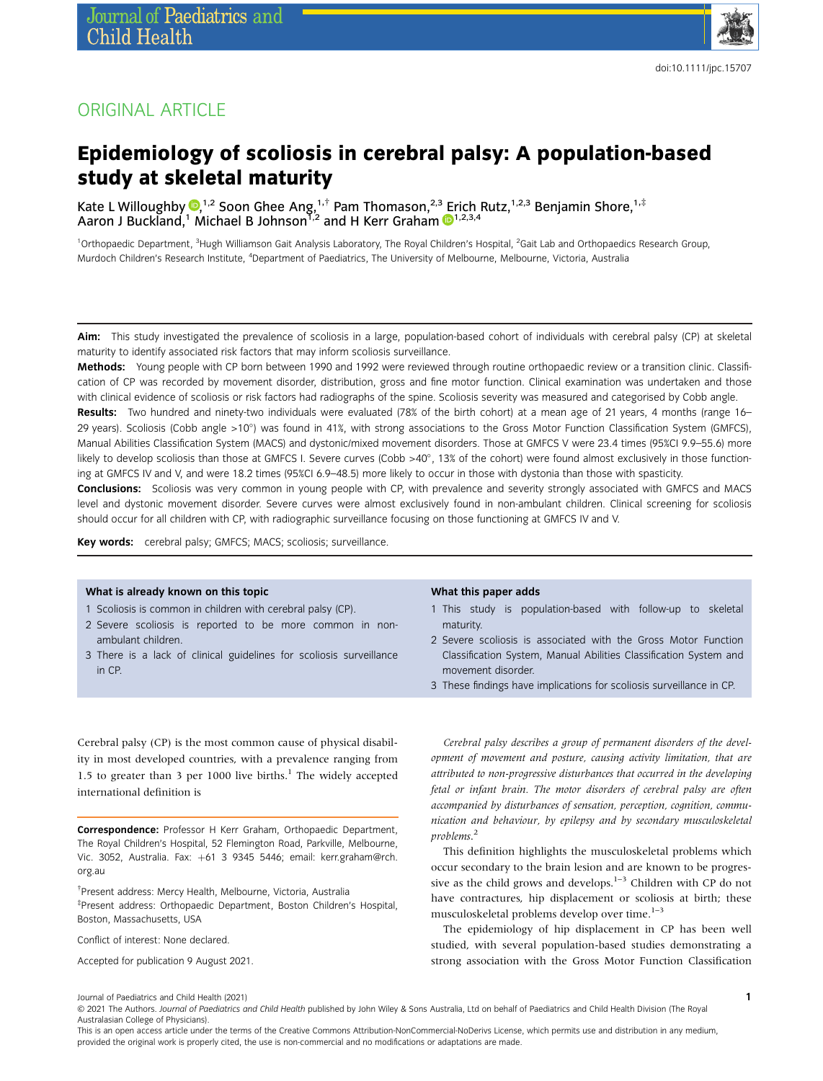

## ORIGINAL ARTICLE

# Epidemiology of scoliosis in cerebral palsy: A population-based study at skeletal maturity

Kate L Willoughby  $\mathbb{D}^{1,2}_i$  $\mathbb{D}^{1,2}_i$  $\mathbb{D}^{1,2}_i$  Soon Ghee Ang,<sup>1,†</sup> Pam Thomason,<sup>2,3</sup> [E](https://orcid.org/0000-0001-6607-7631)rich Rutz,<sup>1,2,3</sup> Benjamin Shore,<sup>1,‡</sup> Aaron J Buckland,<sup>1</sup> Michael B Johnson<sup>1,2</sup> and H Kerr Graham  $\mathbb{D}^{1,2,3,4}$ 

<sup>1</sup>Orthopaedic Department, <sup>3</sup>Hugh Williamson Gait Analysis Laboratory, The Royal Children's Hospital, <sup>2</sup>Gait Lab and Orthopaedics Research Group, Murdoch Children's Research Institute, <sup>4</sup>Department of Paediatrics, The University of Melbourne, Melbourne, Victoria, Australia

Aim: This study investigated the prevalence of scoliosis in a large, population-based cohort of individuals with cerebral palsy (CP) at skeletal maturity to identify associated risk factors that may inform scoliosis surveillance.

Methods: Young people with CP born between 1990 and 1992 were reviewed through routine orthopaedic review or a transition clinic. Classification of CP was recorded by movement disorder, distribution, gross and fine motor function. Clinical examination was undertaken and those with clinical evidence of scoliosis or risk factors had radiographs of the spine. Scoliosis severity was measured and categorised by Cobb angle.

Results: Two hundred and ninety-two individuals were evaluated (78% of the birth cohort) at a mean age of 21 years, 4 months (range 16– 29 years). Scoliosis (Cobb angle >10) was found in 41%, with strong associations to the Gross Motor Function Classification System (GMFCS), Manual Abilities Classification System (MACS) and dystonic/mixed movement disorders. Those at GMFCS V were 23.4 times (95%CI 9.9–55.6) more likely to develop scoliosis than those at GMFCS I. Severe curves (Cobb >40°, 13% of the cohort) were found almost exclusively in those functioning at GMFCS IV and V, and were 18.2 times (95%CI 6.9–48.5) more likely to occur in those with dystonia than those with spasticity.

Conclusions: Scoliosis was very common in young people with CP, with prevalence and severity strongly associated with GMFCS and MACS level and dystonic movement disorder. Severe curves were almost exclusively found in non-ambulant children. Clinical screening for scoliosis should occur for all children with CP, with radiographic surveillance focusing on those functioning at GMFCS IV and V.

Key words: cerebral palsy; GMFCS; MACS; scoliosis; surveillance.

#### What is already known on this topic

- 1 Scoliosis is common in children with cerebral palsy (CP).
- 2 Severe scoliosis is reported to be more common in nonambulant children.
- 3 There is a lack of clinical guidelines for scoliosis surveillance in CP.

Cerebral palsy (CP) is the most common cause of physical disability in most developed countries, with a prevalence ranging from 1.5 to greater than 3 per 1000 live births.<sup>1</sup> The widely accepted international definition is

Correspondence: Professor H Kerr Graham, Orthopaedic Department, The Royal Children's Hospital, 52 Flemington Road, Parkville, Melbourne, Vic. 3052, Australia. Fax: +61 3 9345 5446; email: [kerr.graham@rch.](mailto:kerr.graham@rch.org.au) [org.au](mailto:kerr.graham@rch.org.au)

† Present address: Mercy Health, Melbourne, Victoria, Australia ‡ Present address: Orthopaedic Department, Boston Children's Hospital, Boston, Massachusetts, USA

Conflict of interest: None declared.

Accepted for publication 9 August 2021.

#### What this paper adds

- 1 This study is population-based with follow-up to skeletal maturity.
- 2 Severe scoliosis is associated with the Gross Motor Function Classification System, Manual Abilities Classification System and movement disorder.
- 3 These findings have implications for scoliosis surveillance in CP.

Cerebral palsy describes a group of permanent disorders of the development of movement and posture, causing activity limitation, that are attributed to non-progressive disturbances that occurred in the developing fetal or infant brain. The motor disorders of cerebral palsy are often accompanied by disturbances of sensation, perception, cognition, communication and behaviour, by epilepsy and by secondary musculoskeletal problems. 2

This definition highlights the musculoskeletal problems which occur secondary to the brain lesion and are known to be progressive as the child grows and develops. $1-3$  Children with CP do not have contractures, hip displacement or scoliosis at birth; these musculoskeletal problems develop over time.<sup>1-3</sup>

The epidemiology of hip displacement in CP has been well studied, with several population-based studies demonstrating a strong association with the Gross Motor Function Classification

Journal of Paediatrics and Child Health (2021)

© 2021 The Authors. Journal of Paediatrics and Child Health published by John Wiley & Sons Australia, Ltd on behalf of Paediatrics and Child Health Division (The Royal Australasian College of Physicians).

This is an open access article under the terms of the [Creative Commons Attribution-NonCommercial-NoDerivs](http://creativecommons.org/licenses/by-nc-nd/4.0/) License, which permits use and distribution in any medium, provided the original work is properly cited, the use is non-commercial and no modifications or adaptations are made.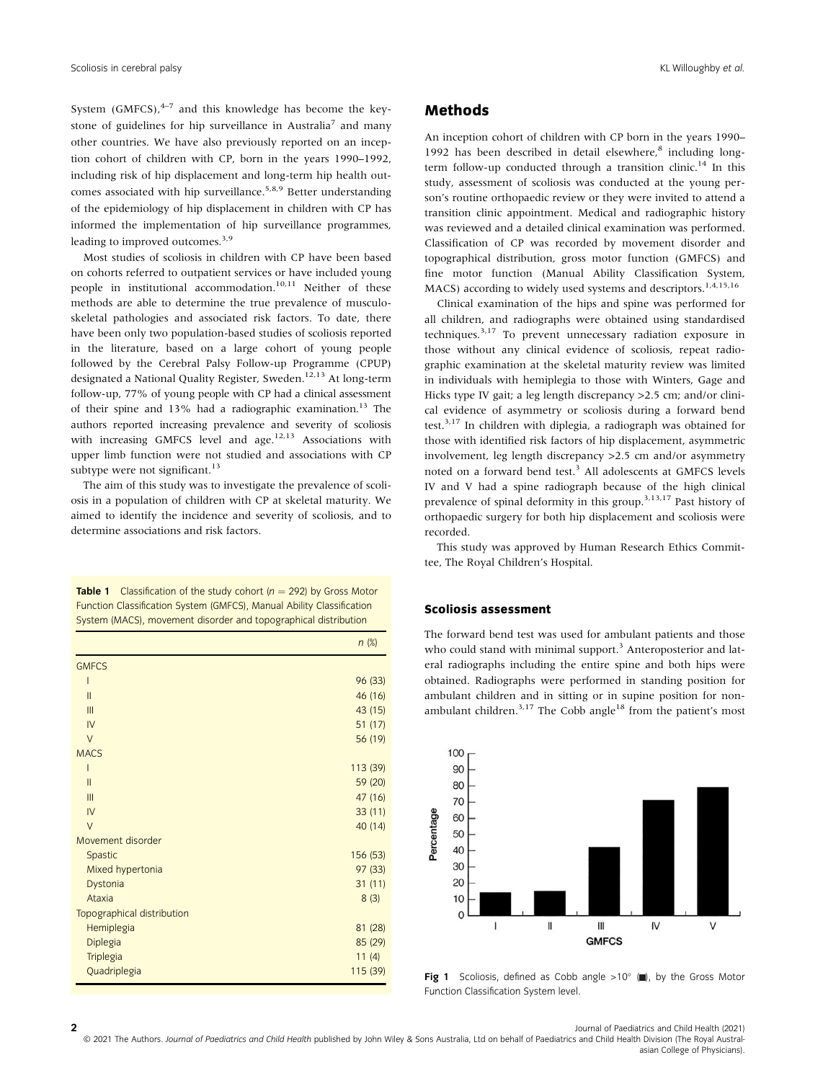System  $(GMFCS)$ ,  $4-7$  and this knowledge has become the keystone of guidelines for hip surveillance in Australia<sup>7</sup> and many other countries. We have also previously reported on an inception cohort of children with CP, born in the years 1990–1992, including risk of hip displacement and long-term hip health outcomes associated with hip surveillance.<sup>5,8,9</sup> Better understanding of the epidemiology of hip displacement in children with CP has informed the implementation of hip surveillance programmes, leading to improved outcomes.<sup>3,9</sup>

Most studies of scoliosis in children with CP have been based on cohorts referred to outpatient services or have included young people in institutional accommodation.<sup>10,11</sup> Neither of these methods are able to determine the true prevalence of musculoskeletal pathologies and associated risk factors. To date, there have been only two population-based studies of scoliosis reported in the literature, based on a large cohort of young people followed by the Cerebral Palsy Follow-up Programme (CPUP) designated a National Quality Register, Sweden.<sup>12,13</sup> At long-term follow-up, 77% of young people with CP had a clinical assessment of their spine and 13% had a radiographic examination.<sup>13</sup> The authors reported increasing prevalence and severity of scoliosis with increasing GMFCS level and age.<sup>12,13</sup> Associations with upper limb function were not studied and associations with CP subtype were not significant.<sup>13</sup>

The aim of this study was to investigate the prevalence of scoliosis in a population of children with CP at skeletal maturity. We aimed to identify the incidence and severity of scoliosis, and to determine associations and risk factors.

**Table 1** Classification of the study cohort  $(n = 292)$  by Gross Motor Function Classification System (GMFCS), Manual Ability Classification System (MACS), movement disorder and topographical distribution

|                            | $n$ (%)  |
|----------------------------|----------|
| <b>GMFCS</b>               |          |
| ı                          | 96 (33)  |
| $\mathbf{II}$              | 46 (16)  |
| III                        | 43 (15)  |
| IV                         | 51(17)   |
| $\vee$                     | 56 (19)  |
| <b>MACS</b>                |          |
| ı                          | 113 (39) |
| $\mathbf{I}$               | 59 (20)  |
| III                        | 47 (16)  |
| IV                         | 33(11)   |
| $\vee$                     | 40 (14)  |
| Movement disorder          |          |
| Spastic                    | 156 (53) |
| Mixed hypertonia           | 97 (33)  |
| Dystonia                   | 31(11)   |
| Ataxia                     | 8(3)     |
| Topographical distribution |          |
| Hemiplegia                 | 81 (28)  |
| Diplegia                   | 85 (29)  |
| Triplegia                  | 11(4)    |
| Quadriplegia               | 115 (39) |

## Methods

An inception cohort of children with CP born in the years 1990– 1992 has been described in detail elsewhere, $8$  including longterm follow-up conducted through a transition clinic.<sup>14</sup> In this study, assessment of scoliosis was conducted at the young person's routine orthopaedic review or they were invited to attend a transition clinic appointment. Medical and radiographic history was reviewed and a detailed clinical examination was performed. Classification of CP was recorded by movement disorder and topographical distribution, gross motor function (GMFCS) and fine motor function (Manual Ability Classification System, MACS) according to widely used systems and descriptors.<sup>1,4,15,16</sup>

Clinical examination of the hips and spine was performed for all children, and radiographs were obtained using standardised techniques.3,17 To prevent unnecessary radiation exposure in those without any clinical evidence of scoliosis, repeat radiographic examination at the skeletal maturity review was limited in individuals with hemiplegia to those with Winters, Gage and Hicks type IV gait; a leg length discrepancy >2.5 cm; and/or clinical evidence of asymmetry or scoliosis during a forward bend test.<sup>3,17</sup> In children with diplegia, a radiograph was obtained for those with identified risk factors of hip displacement, asymmetric involvement, leg length discrepancy >2.5 cm and/or asymmetry noted on a forward bend test.<sup>3</sup> All adolescents at GMFCS levels IV and V had a spine radiograph because of the high clinical prevalence of spinal deformity in this group.<sup>3,13,17</sup> Past history of orthopaedic surgery for both hip displacement and scoliosis were recorded.

This study was approved by Human Research Ethics Committee, The Royal Children's Hospital.

#### Scoliosis assessment

The forward bend test was used for ambulant patients and those who could stand with minimal support.<sup>3</sup> Anteroposterior and lateral radiographs including the entire spine and both hips were obtained. Radiographs were performed in standing position for ambulant children and in sitting or in supine position for nonambulant children.<sup>3,17</sup> The Cobb angle<sup>18</sup> from the patient's most



Fig 1 Scoliosis, defined as Cobb angle  $>10^\circ$  ( $\blacksquare$ ), by the Gross Motor Function Classification System level.

2 **2** Journal of Paediatrics and Child Health (2021)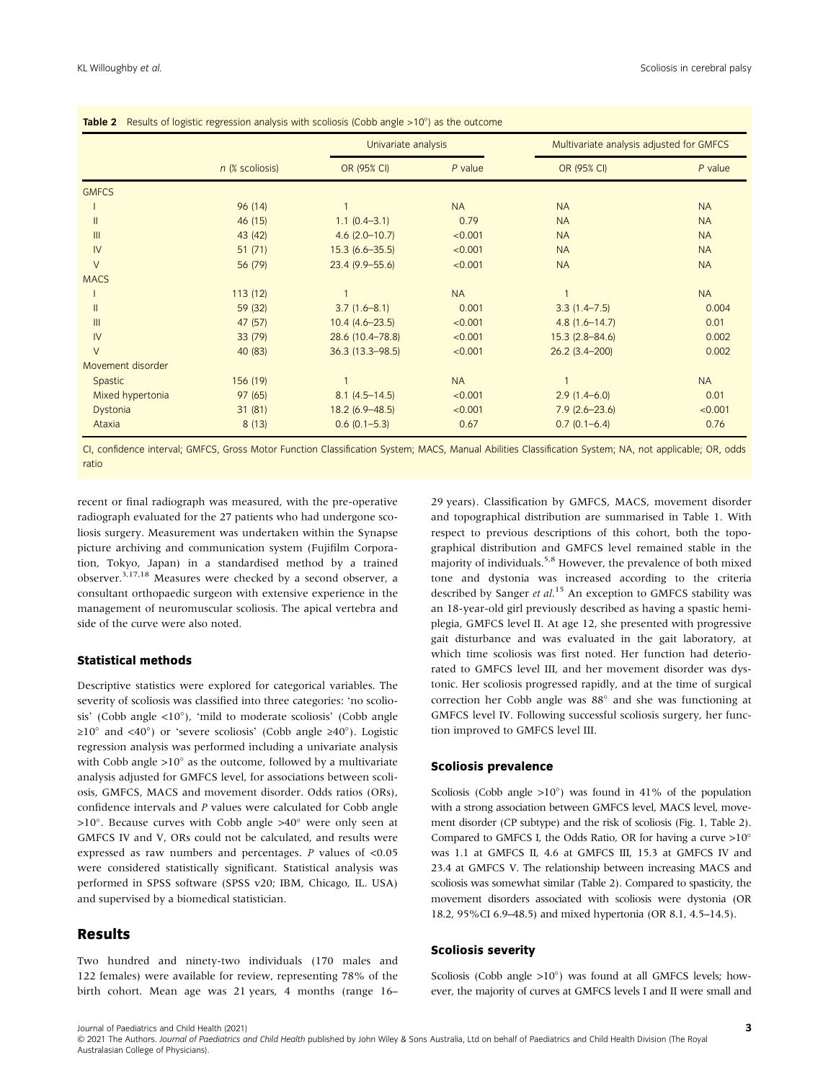|                   | n (% scoliosis) | Univariate analysis |           | Multivariate analysis adjusted for GMFCS |           |
|-------------------|-----------------|---------------------|-----------|------------------------------------------|-----------|
|                   |                 | OR (95% CI)         | $P$ value | OR (95% CI)                              | $P$ value |
| <b>GMFCS</b>      |                 |                     |           |                                          |           |
|                   | 96 (14)         |                     | <b>NA</b> | <b>NA</b>                                | <b>NA</b> |
| $\mathsf{II}$     | 46 (15)         | $1.1 (0.4 - 3.1)$   | 0.79      | <b>NA</b>                                | <b>NA</b> |
| III               | 43 (42)         | $4.6$ (2.0-10.7)    | < 0.001   | <b>NA</b>                                | <b>NA</b> |
| IV                | 51(71)          | $15.3(6.6 - 35.5)$  | < 0.001   | <b>NA</b>                                | <b>NA</b> |
| $\vee$            | 56 (79)         | $23.4(9.9 - 55.6)$  | < 0.001   | <b>NA</b>                                | <b>NA</b> |
| <b>MACS</b>       |                 |                     |           |                                          |           |
|                   | 113(12)         |                     | <b>NA</b> |                                          | <b>NA</b> |
| $\mathsf{II}$     | 59 (32)         | $3.7(1.6 - 8.1)$    | 0.001     | $3.3(1.4 - 7.5)$                         | 0.004     |
| III               | 47 (57)         | $10.4(4.6-23.5)$    | < 0.001   | $4.8(1.6 - 14.7)$                        | 0.01      |
| IV                | 33 (79)         | 28.6 (10.4-78.8)    | < 0.001   | $15.3(2.8 - 84.6)$                       | 0.002     |
| $\vee$            | 40 (83)         | $36.3$ (13.3-98.5)  | < 0.001   | $26.2(3.4 - 200)$                        | 0.002     |
| Movement disorder |                 |                     |           |                                          |           |
| Spastic           | 156 (19)        |                     | <b>NA</b> |                                          | <b>NA</b> |
| Mixed hypertonia  | 97(65)          | $8.1(4.5 - 14.5)$   | < 0.001   | $2.9(1.4-6.0)$                           | 0.01      |
| Dystonia          | 31(81)          | $18.2(6.9 - 48.5)$  | < 0.001   | $7.9(2.6 - 23.6)$                        | < 0.001   |
| Ataxia            | 8(13)           | $0.6(0.1 - 5.3)$    | 0.67      | $0.7(0.1 - 6.4)$                         | 0.76      |

CI, confidence interval; GMFCS, Gross Motor Function Classification System; MACS, Manual Abilities Classification System; NA, not applicable; OR, odds ratio

recent or final radiograph was measured, with the pre-operative radiograph evaluated for the 27 patients who had undergone scoliosis surgery. Measurement was undertaken within the Synapse picture archiving and communication system (Fujifilm Corporation, Tokyo, Japan) in a standardised method by a trained observer.3,17,18 Measures were checked by a second observer, a consultant orthopaedic surgeon with extensive experience in the management of neuromuscular scoliosis. The apical vertebra and side of the curve were also noted.

#### Statistical methods

Descriptive statistics were explored for categorical variables. The severity of scoliosis was classified into three categories: 'no scoliosis' (Cobb angle  $\langle 10^\circ \rangle$ ), 'mild to moderate scoliosis' (Cobb angle  $\geq 10^{\circ}$  and <40°) or 'severe scoliosis' (Cobb angle  $\geq 40^{\circ}$ ). Logistic regression analysis was performed including a univariate analysis with Cobb angle  $>10^\circ$  as the outcome, followed by a multivariate analysis adjusted for GMFCS level, for associations between scoliosis, GMFCS, MACS and movement disorder. Odds ratios (ORs), confidence intervals and P values were calculated for Cobb angle  $>10^\circ$ . Because curves with Cobb angle  $>40^\circ$  were only seen at GMFCS IV and V, ORs could not be calculated, and results were expressed as raw numbers and percentages. P values of <0.05 were considered statistically significant. Statistical analysis was performed in SPSS software (SPSS v20; IBM, Chicago, IL. USA) and supervised by a biomedical statistician.

#### Results

Two hundred and ninety-two individuals (170 males and 122 females) were available for review, representing 78% of the birth cohort. Mean age was 21 years, 4 months (range 16–

29 years). Classification by GMFCS, MACS, movement disorder and topographical distribution are summarised in Table 1. With respect to previous descriptions of this cohort, both the topographical distribution and GMFCS level remained stable in the majority of individuals.<sup>5,8</sup> However, the prevalence of both mixed tone and dystonia was increased according to the criteria described by Sanger et al.<sup>15</sup> An exception to GMFCS stability was an 18-year-old girl previously described as having a spastic hemiplegia, GMFCS level II. At age 12, she presented with progressive gait disturbance and was evaluated in the gait laboratory, at which time scoliosis was first noted. Her function had deteriorated to GMFCS level III, and her movement disorder was dystonic. Her scoliosis progressed rapidly, and at the time of surgical correction her Cobb angle was  $88^\circ$  and she was functioning at GMFCS level IV. Following successful scoliosis surgery, her function improved to GMFCS level III.

#### Scoliosis prevalence

Scoliosis (Cobb angle  $>10^{\circ}$ ) was found in 41% of the population with a strong association between GMFCS level, MACS level, movement disorder (CP subtype) and the risk of scoliosis (Fig. 1, Table 2). Compared to GMFCS I, the Odds Ratio, OR for having a curve  $>10^{\circ}$ was 1.1 at GMFCS II, 4.6 at GMFCS III, 15.3 at GMFCS IV and 23.4 at GMFCS V. The relationship between increasing MACS and scoliosis was somewhat similar (Table 2). Compared to spasticity, the movement disorders associated with scoliosis were dystonia (OR 18.2, 95%CI 6.9–48.5) and mixed hypertonia (OR 8.1, 4.5–14.5).

#### Scoliosis severity

Scoliosis (Cobb angle  $>10^{\circ}$ ) was found at all GMFCS levels; however, the majority of curves at GMFCS levels I and II were small and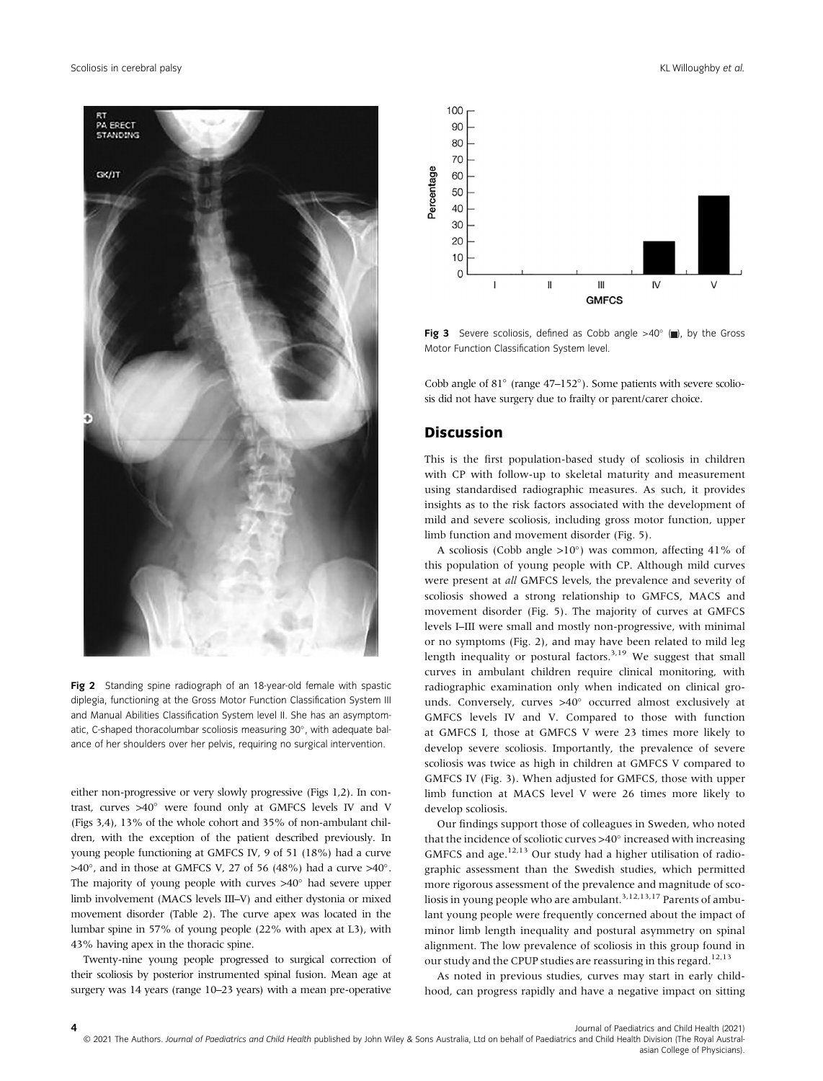

Fig 2 Standing spine radiograph of an 18-year-old female with spastic diplegia, functioning at the Gross Motor Function Classification System III and Manual Abilities Classification System level II. She has an asymptomatic, C-shaped thoracolumbar scoliosis measuring 30°, with adequate balance of her shoulders over her pelvis, requiring no surgical intervention.

either non-progressive or very slowly progressive (Figs 1,2). In contrast, curves  $>40^\circ$  were found only at GMFCS levels IV and V (Figs 3,4), 13% of the whole cohort and 35% of non-ambulant children, with the exception of the patient described previously. In young people functioning at GMFCS IV, 9 of 51 (18%) had a curve  $>40^{\circ}$ , and in those at GMFCS V, 27 of 56 (48%) had a curve  $>40^{\circ}$ . The majority of young people with curves  $>40^\circ$  had severe upper limb involvement (MACS levels III–V) and either dystonia or mixed movement disorder (Table 2). The curve apex was located in the lumbar spine in 57% of young people (22% with apex at L3), with 43% having apex in the thoracic spine.

Twenty-nine young people progressed to surgical correction of their scoliosis by posterior instrumented spinal fusion. Mean age at surgery was 14 years (range 10–23 years) with a mean pre-operative



**Fig 3** Severe scoliosis, defined as Cobb angle  $>40^\circ$  ( $\blacksquare$ ), by the Gross Motor Function Classification System level.

Cobb angle of  $81^\circ$  (range  $47-152^\circ$ ). Some patients with severe scoliosis did not have surgery due to frailty or parent/carer choice.

## Discussion

This is the first population-based study of scoliosis in children with CP with follow-up to skeletal maturity and measurement using standardised radiographic measures. As such, it provides insights as to the risk factors associated with the development of mild and severe scoliosis, including gross motor function, upper limb function and movement disorder (Fig. 5).

A scoliosis (Cobb angle  $>10^{\circ}$ ) was common, affecting 41% of this population of young people with CP. Although mild curves were present at all GMFCS levels, the prevalence and severity of scoliosis showed a strong relationship to GMFCS, MACS and movement disorder (Fig. 5). The majority of curves at GMFCS levels I–III were small and mostly non-progressive, with minimal or no symptoms (Fig. 2), and may have been related to mild leg length inequality or postural factors.<sup>3,19</sup> We suggest that small curves in ambulant children require clinical monitoring, with radiographic examination only when indicated on clinical grounds. Conversely, curves  $>40^\circ$  occurred almost exclusively at GMFCS levels IV and V. Compared to those with function at GMFCS I, those at GMFCS V were 23 times more likely to develop severe scoliosis. Importantly, the prevalence of severe scoliosis was twice as high in children at GMFCS V compared to GMFCS IV (Fig. 3). When adjusted for GMFCS, those with upper limb function at MACS level V were 26 times more likely to develop scoliosis.

Our findings support those of colleagues in Sweden, who noted that the incidence of scoliotic curves  $>40^\circ$  increased with increasing GMFCS and age. $12,13$  Our study had a higher utilisation of radiographic assessment than the Swedish studies, which permitted more rigorous assessment of the prevalence and magnitude of scoliosis in young people who are ambulant.<sup>3,12,13,17</sup> Parents of ambulant young people were frequently concerned about the impact of minor limb length inequality and postural asymmetry on spinal alignment. The low prevalence of scoliosis in this group found in our study and the CPUP studies are reassuring in this regard.<sup>12,13</sup>

As noted in previous studies, curves may start in early childhood, can progress rapidly and have a negative impact on sitting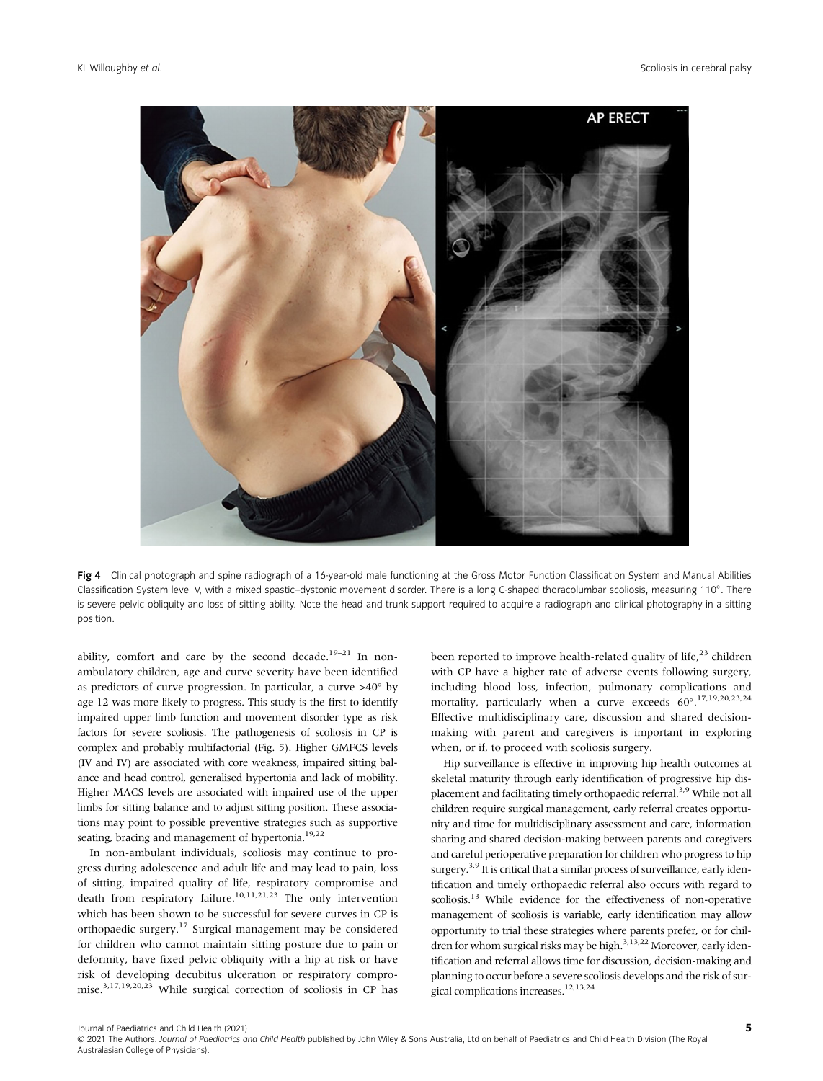

Fig 4 Clinical photograph and spine radiograph of a 16-year-old male functioning at the Gross Motor Function Classification System and Manual Abilities Classification System level V, with a mixed spastic-dystonic movement disorder. There is a long C-shaped thoracolumbar scoliosis, measuring 110°. There is severe pelvic obliquity and loss of sitting ability. Note the head and trunk support required to acquire a radiograph and clinical photography in a sitting position.

ability, comfort and care by the second decade.<sup>19–21</sup> In nonambulatory children, age and curve severity have been identified as predictors of curve progression. In particular, a curve  $>40^\circ$  by age 12 was more likely to progress. This study is the first to identify impaired upper limb function and movement disorder type as risk factors for severe scoliosis. The pathogenesis of scoliosis in CP is complex and probably multifactorial (Fig. 5). Higher GMFCS levels (IV and IV) are associated with core weakness, impaired sitting balance and head control, generalised hypertonia and lack of mobility. Higher MACS levels are associated with impaired use of the upper limbs for sitting balance and to adjust sitting position. These associations may point to possible preventive strategies such as supportive seating, bracing and management of hypertonia.<sup>19,22</sup>

In non-ambulant individuals, scoliosis may continue to progress during adolescence and adult life and may lead to pain, loss of sitting, impaired quality of life, respiratory compromise and death from respiratory failure.<sup>10,11,21,23</sup> The only intervention which has been shown to be successful for severe curves in CP is orthopaedic surgery.17 Surgical management may be considered for children who cannot maintain sitting posture due to pain or deformity, have fixed pelvic obliquity with a hip at risk or have risk of developing decubitus ulceration or respiratory compromise.3,17,19,20,23 While surgical correction of scoliosis in CP has been reported to improve health-related quality of life, $23$  children with CP have a higher rate of adverse events following surgery, including blood loss, infection, pulmonary complications and mortality, particularly when a curve exceeds 60°.<sup>17,19,20,23,24</sup> Effective multidisciplinary care, discussion and shared decisionmaking with parent and caregivers is important in exploring when, or if, to proceed with scoliosis surgery.

Hip surveillance is effective in improving hip health outcomes at skeletal maturity through early identification of progressive hip displacement and facilitating timely orthopaedic referral.<sup>3,9</sup> While not all children require surgical management, early referral creates opportunity and time for multidisciplinary assessment and care, information sharing and shared decision-making between parents and caregivers and careful perioperative preparation for children who progress to hip surgery.<sup>3,9</sup> It is critical that a similar process of surveillance, early identification and timely orthopaedic referral also occurs with regard to scoliosis.<sup>13</sup> While evidence for the effectiveness of non-operative management of scoliosis is variable, early identification may allow opportunity to trial these strategies where parents prefer, or for children for whom surgical risks may be high.<sup>3,13,22</sup> Moreover, early identification and referral allows time for discussion, decision-making and planning to occur before a severe scoliosis develops and the risk of surgical complications increases.<sup>12,13,24</sup>

Journal of Paediatrics and Child Health (2021)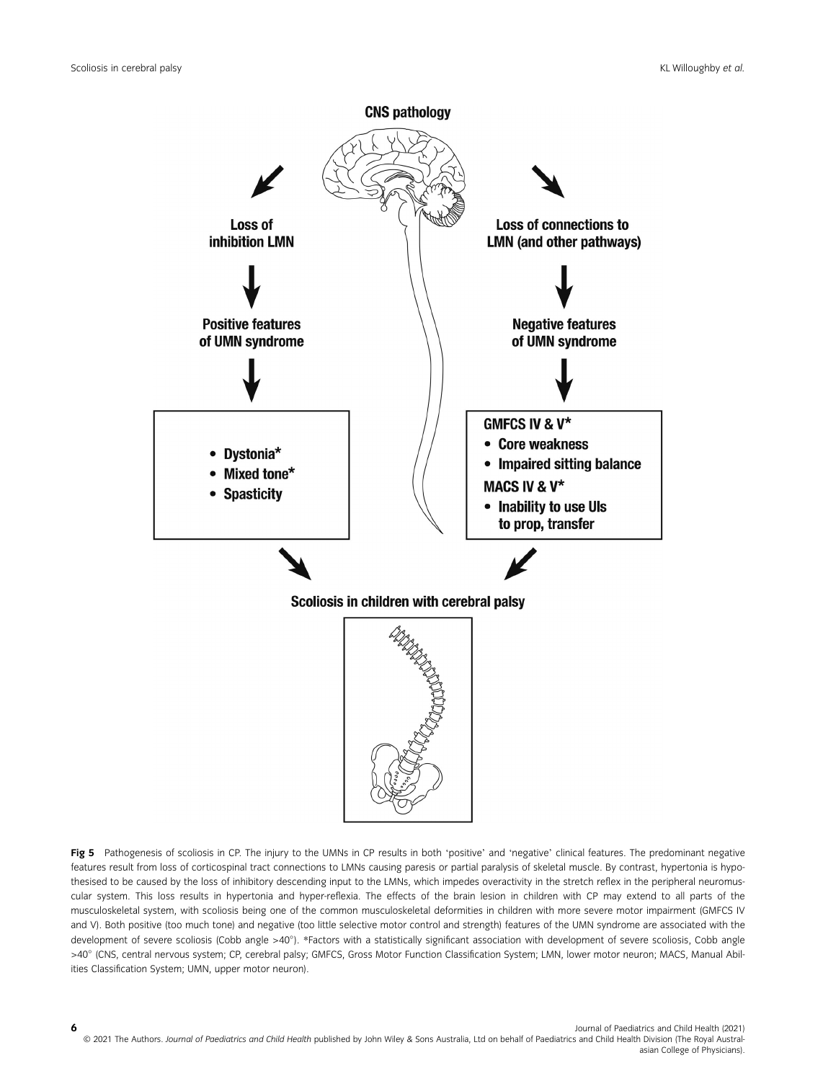

Fig 5 Pathogenesis of scoliosis in CP. The injury to the UMNs in CP results in both 'positive' and 'negative' clinical features. The predominant negative features result from loss of corticospinal tract connections to LMNs causing paresis or partial paralysis of skeletal muscle. By contrast, hypertonia is hypothesised to be caused by the loss of inhibitory descending input to the LMNs, which impedes overactivity in the stretch reflex in the peripheral neuromuscular system. This loss results in hypertonia and hyper-reflexia. The effects of the brain lesion in children with CP may extend to all parts of the musculoskeletal system, with scoliosis being one of the common musculoskeletal deformities in children with more severe motor impairment (GMFCS IV and V). Both positive (too much tone) and negative (too little selective motor control and strength) features of the UMN syndrome are associated with the development of severe scoliosis (Cobb angle >40). \*Factors with a statistically significant association with development of severe scoliosis, Cobb angle >40 (CNS, central nervous system; CP, cerebral palsy; GMFCS, Gross Motor Function Classification System; LMN, lower motor neuron; MACS, Manual Abilities Classification System; UMN, upper motor neuron).